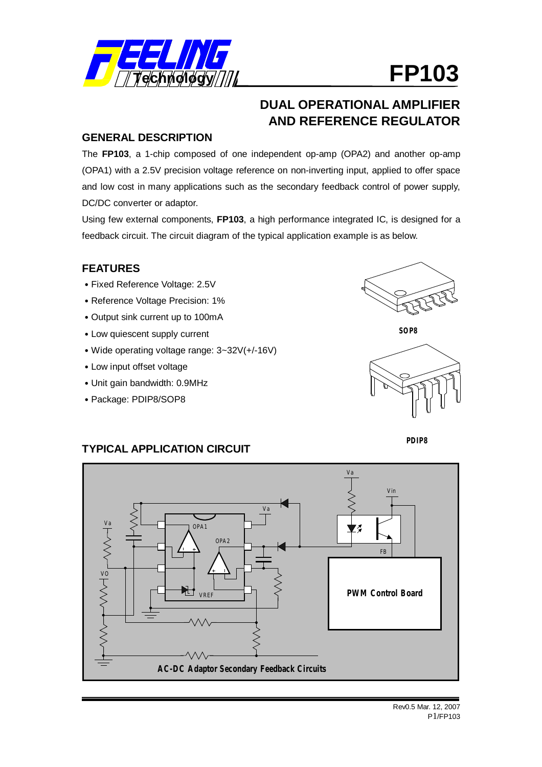

# **DUAL OPERATIONAL AMPLIFIER AND REFERENCE REGULATOR**

### **GENERAL DESCRIPTION**

The **FP103**, a 1-chip composed of one independent op-amp (OPA2) and another op-amp (OPA1) with a 2.5V precision voltage reference on non-inverting input, applied to offer space and low cost in many applications such as the secondary feedback control of power supply, DC/DC converter or adaptor.

Using few external components, **FP103**, a high performance integrated IC, is designed for a feedback circuit. The circuit diagram of the typical application example is as below.

## **FEATURES**

- ˙Fixed Reference Voltage: 2.5V
- ˙Reference Voltage Precision: 1%
- ˙Output sink current up to 100mA
- ˙Low quiescent supply current
- ˙Wide operating voltage range: 3~32V(+/-16V)
- ˙Low input offset voltage
- ˙Unit gain bandwidth: 0.9MHz
- ˙Package: PDIP8/SOP8



**SOP8**





## **TYPICAL APPLICATION CIRCUIT**

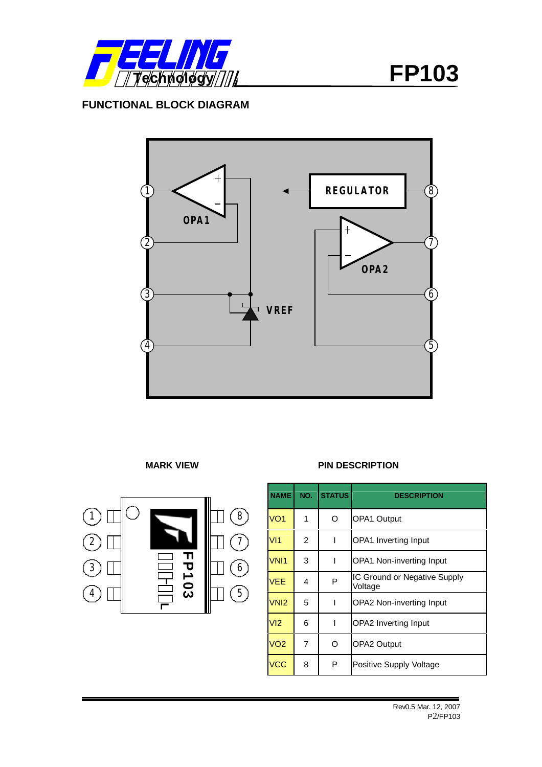

## **FUNCTIONAL BLOCK DIAGRAM**



**MARK VIEW PIN DESCRIPTION**



**NAME NO. STATUS DESCRIPTION**  VO1 1 O OPA1 Output VI1 2 | I OPA1 Inverting Input VNI1 3 | I OPA1 Non-inverting Input VEE 4 P IC Ground or Negative Supply Voltage VNI2 5 | I OPA2 Non-inverting Input VI2 6 | I OPA2 Inverting Input VO2 7 O OPA2 Output VCC 8 P Positive Supply Voltage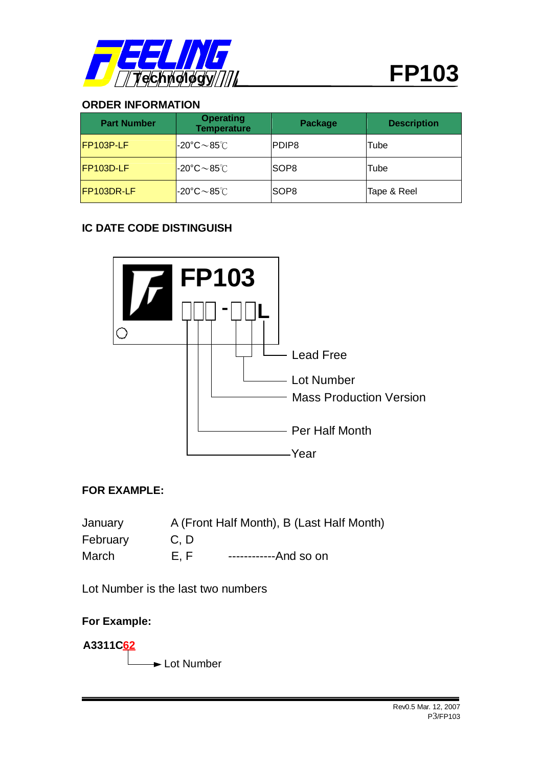

## **ORDER INFORMATION**

| <b>Part Number</b> | <b>Operating</b><br><b>Temperature</b>          | Package          | <b>Description</b> |  |
|--------------------|-------------------------------------------------|------------------|--------------------|--|
| <b>IFP103P-LF</b>  | $\sim 20^\circ \text{C} \sim 85^\circ \text{C}$ | PDIP8            | Tube               |  |
| FP103D-LF          | $\sim 20^\circ \text{C} \sim 85^\circ \text{C}$ | SOP <sub>8</sub> | Tube               |  |
| FP103DR-LF         | $-20^{\circ}$ C $\sim$ 85 $^{\circ}$ C          | SOP <sub>8</sub> | Tape & Reel        |  |

## **IC DATE CODE DISTINGUISH**



## **FOR EXAMPLE:**

| January  |     | A (Front Half Month), B (Last Half Month) |
|----------|-----|-------------------------------------------|
| February | C.D |                                           |
| March    | E.F | ------------And so on                     |

Lot Number is the last two numbers

## **For Example:**

**A3311C62**  $\rightarrow$  Lot Number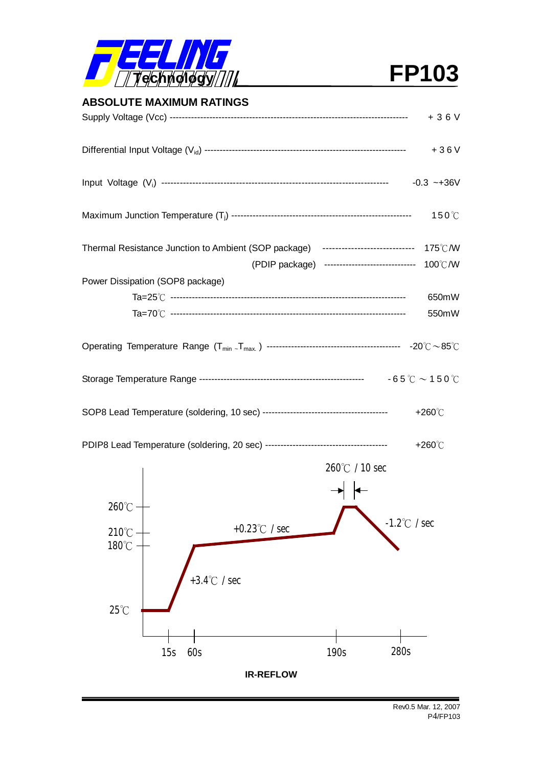

| <b>ABSOLUTE MAXIMUM RATINGS</b>                                                          |                      |
|------------------------------------------------------------------------------------------|----------------------|
|                                                                                          | $+36V$               |
|                                                                                          | $+36V$               |
|                                                                                          | $-0.3 - +36V$        |
|                                                                                          | $150^{\circ}$ C      |
| Thermal Resistance Junction to Ambient (SOP package) ---------------------------- 175℃/W |                      |
| (PDIP package) ------------------------------ 100℃/W                                     |                      |
| Power Dissipation (SOP8 package)                                                         |                      |
|                                                                                          | 650mW                |
|                                                                                          | 550mW                |
|                                                                                          |                      |
|                                                                                          |                      |
|                                                                                          |                      |
|                                                                                          | +260 $\degree$ C     |
|                                                                                          | +260 $\degree$ C     |
| $260^{\circ}$ / 10 sec<br>→ ←                                                            |                      |
| $260^{\circ}$ C                                                                          |                      |
| +0.23 $\degree$ C / sec<br>$210^{\circ}$ C -                                             | $-1.2^{\circ}$ / sec |
| $180^{\circ}$ C                                                                          |                      |
| +3.4 $\degree$ C / sec<br>$25^{\circ}$ C                                                 |                      |
|                                                                                          |                      |
|                                                                                          |                      |
| 60s<br>15s<br>190s                                                                       | 280s                 |
| <b>IR-REFLOW</b>                                                                         |                      |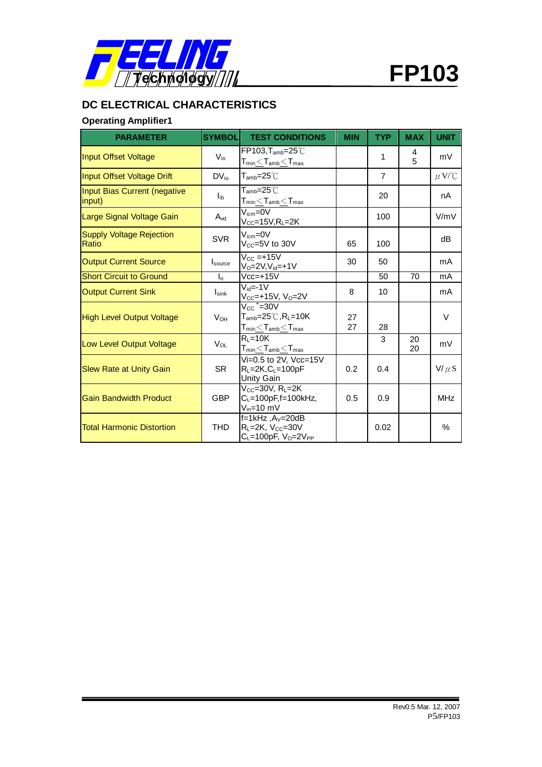

# **DC ELECTRICAL CHARACTERISTICS**

## **Operating Amplifier1**

| <b>PARAMETER</b>                              | <b>SYMBOL</b>     | <b>TEST CONDITIONS</b>                                                                                                              | <b>MIN</b> | <b>TYP</b>     | <b>MAX</b> | <b>UNIT</b> |
|-----------------------------------------------|-------------------|-------------------------------------------------------------------------------------------------------------------------------------|------------|----------------|------------|-------------|
| <b>Input Offset Voltage</b>                   | $V_{i0}$          | $FP103, T_{amb}=25^{\circ}$<br>$\mathsf{T}_{\mathsf{min}}{\leq}\mathsf{T}_{\mathsf{amb}}{\leq}\mathsf{T}_{\mathsf{max}}$            |            | 1              | 4<br>5     | mV          |
| <b>Input Offset Voltage Drift</b>             | $DV_{io}$         | $\mathsf{T}_{\mathsf{amb}}$ =25 $^\circ\mathbb{C}$                                                                                  |            | $\overline{7}$ |            | $\mu$ V/°C  |
| <b>Input Bias Current (negative</b><br>input) | $I_{ib}$          | $T_{\mathsf{amb}} = 25^{\circ}$<br>$\mathsf{T}_{\mathsf{min}}{\leq}\mathsf{T}_{\mathsf{amb}}{\leq}\mathsf{T}_{\mathsf{max}}$        |            | 20             |            | nA          |
| Large Signal Voltage Gain                     | $A_{vd}$          | $V_{\text{icm}} = 0V$<br>$V_{CC}$ =15V,R <sub>L</sub> =2K                                                                           |            | 100            |            | V/mV        |
| <b>Supply Voltage Rejection</b><br>Ratio      | <b>SVR</b>        | $V_{icm} = 0V$<br>$V_{CC}$ =5V to 30V                                                                                               | 65         | 100            |            | dB          |
| <b>Output Current Source</b>                  | Isource           | $V_{\text{CC}} = +15V$<br>$V_0 = 2V, V_{\text{id}} = +1V$                                                                           | 30         | 50             |            | mA          |
| <b>Short Circuit to Ground</b>                | $I_0$             | $Vec=+15V$                                                                                                                          |            | 50             | 70         | mA          |
| <b>Output Current Sink</b>                    | $I_{\text{sink}}$ | $V_{\text{id}} = -1V$<br>$V_{CC}$ =+15V, V <sub>0</sub> =2V                                                                         | 8          | 10             |            | mA          |
| <b>High Level Output Voltage</b>              | $V_{OH}$          | $V_{CC}$ <sup>+</sup> =30V<br>$T_{\mathsf{amb}} = 25^{\circ}$ C, RL=10K<br>$T_{\text{min}}{\leq}T_{\text{amb}}{\leq}T_{\text{max}}$ | 27<br>27   | 28             |            | $\vee$      |
| Low Level Output Voltage                      | $V_{OL}$          | $R_L = 10K$<br>$\mathsf{T}_{\mathsf{min}}{\leq}\mathsf{T}_{\mathsf{amb}}{\leq}\mathsf{T}_{\mathsf{max}}$                            |            | 3              | 20<br>20   | mV          |
| <b>Slew Rate at Unity Gain</b>                | <b>SR</b>         | Vi=0.5 to 2V, $Vcc=15V$<br>$R_L = 2K$ , $C_L = 100pF$<br>Unity Gain                                                                 | 0.2        | 0.4            |            | $V/\mu S$   |
| <b>Gain Bandwidth Product</b>                 | <b>GBP</b>        | $V_{CC}$ =30V, R <sub>L</sub> =2K<br>$C_L = 100pF$ , f = 100kHz,<br>$V_{in}$ =10 mV                                                 | 0.5        | 0.9            |            | <b>MHz</b>  |
| <b>Total Harmonic Distortion</b>              | <b>THD</b>        | $f=1$ kHz, $A_V=20$ dB<br>$R_L = 2K$ , $V_{CC} = 30V$<br>$C_L = 100pF$ , $V_O = 2V_{PP}$                                            |            | 0.02           |            | %           |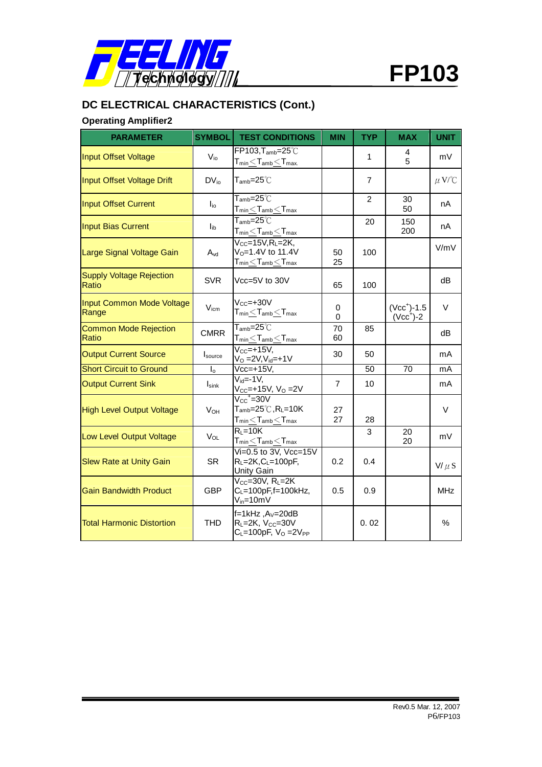

# **DC ELECTRICAL CHARACTERISTICS (Cont.)**

# **Operating Amplifier2**

| <b>PARAMETER</b>                          | <b>SYMBOL</b>           | <b>TEST CONDITIONS</b>                                                                                                                                               | <b>MIN</b> | <b>TYP</b>    | <b>MAX</b>                 | <b>UNIT</b> |
|-------------------------------------------|-------------------------|----------------------------------------------------------------------------------------------------------------------------------------------------------------------|------------|---------------|----------------------------|-------------|
| <b>Input Offset Voltage</b>               | $V_{i0}$                | $FP103, T_{amb} = 25^{\circ}$<br>$\mathsf{T}_{\mathsf{min}}\!<\!\mathsf{T}_{\mathsf{amb}}\!<\!\mathsf{T}_{\mathsf{max}}$                                             |            | 1             | 4<br>5                     | mV          |
| Input Offset Voltage Drift                | $DV_{io}$               | ${\mathsf T}_{\mathsf{amb}}\!\!=\!\!25^\circ\!\mathbb{C}$                                                                                                            |            | 7             |                            | $\mu$ V/°C  |
| <b>Input Offset Current</b>               | $I_{io}$                | $T_{\sf amb} = 25^{\circ}$ C<br>$T_{min}$ $<$ $T_{amb}$ $<$ $T_{max}$                                                                                                |            | $\mathcal{P}$ | 30<br>50                   | nA          |
| <b>Input Bias Current</b>                 | $I_{ib}$                | $T_{\mathsf{amb}} = 25^{\circ}$<br>$\mathsf{T}_{\mathsf{min}}{\leq}\mathsf{T}_{\mathsf{amb}}{\leq}\mathsf{T}_{\mathsf{max}}$                                         |            | 20            | 150<br>200                 | nA          |
| Large Signal Voltage Gain                 | $A_{vd}$                | $V_{CC}$ =15 $V, R_L$ =2K,<br>$V_0 = 1.4V$ to 11.4V<br>$\mathsf{T}_{\mathsf{min}}\underline{\leq}\mathsf{T}_{\mathsf{amb}}\underline{\leq}\mathsf{T}_{\mathsf{max}}$ | 50<br>25   | 100           |                            | V/mV        |
| <b>Supply Voltage Rejection</b><br>Ratio  | <b>SVR</b>              | Vcc=5V to 30V                                                                                                                                                        | 65         | 100           |                            | dB          |
| <b>Input Common Mode Voltage</b><br>Range | V <sub>icm</sub>        | $V_{CC} = +30V$<br>$T_{min}$ $<$ $T_{amb}$ $<$ $T_{max}$                                                                                                             | 0<br>0     |               | $(Vcc+)-1.5$<br>$(Vcc+)-2$ | $\vee$      |
| <b>Common Mode Rejection</b><br>Ratio     | <b>CMRR</b>             | $\mathsf{T}_{\mathsf{amb}}\!\!=\!\!25^\circ\!\mathbb{C}$<br>$\mathsf{T}_{\mathsf{min}}{\leq}\mathsf{T}_{\mathsf{amb}}{\leq}\mathsf{T}_{\mathsf{max}}$                | 70<br>60   | 85            |                            | dB          |
| <b>Output Current Source</b>              | Isource                 | $V_{CC}$ =+15 $V$ ,<br>$V_O = 2V, V_{id} = +1V$                                                                                                                      | 30         | 50            |                            | mA          |
| <b>Short Circuit to Ground</b>            | $\mathsf{I}_\mathsf{0}$ | $Vcc=+15V,$                                                                                                                                                          |            | 50            | 70                         | mA          |
| <b>Output Current Sink</b>                | $I_{\text{sink}}$       | $V_{\text{id}} = -1V$<br>$V_{CC}$ =+15V, $V_{O}$ =2V                                                                                                                 | 7          | 10            |                            | mA          |
| <b>High Level Output Voltage</b>          | V <sub>OH</sub>         | $V_{CC}$ +=30 $V$<br>$T_{\mathsf{amb}} = 25^{\circ}$ C, R <sub>L</sub> =10K<br>${\sf T}_{\sf min}$ $\leq$ ${\sf T}_{\sf amb}$ $\leq$ ${\sf T}_{\sf max}$             | 27<br>27   | 28            |                            | V           |
| Low Level Output Voltage                  | $V_{OL}$                | $R1=10K$<br>$T_{min}$ $\leq$ $T_{amb}$ $\leq$ $T_{max}$                                                                                                              |            | 3             | 20<br>20                   | mV          |
| <b>Slew Rate at Unity Gain</b>            | <b>SR</b>               | $Vi=0.5$ to 3V, Vcc=15V<br>$R_L = 2K$ , $C_L = 100pF$ ,<br>Unity Gain                                                                                                | 0.2        | 0.4           |                            | $V/\mu S$   |
| <b>Gain Bandwidth Product</b>             | <b>GBP</b>              | $V_{CC} = 30V$ , $R_L = 2K$<br>$C_L = 100pF, f = 100kHz,$<br>$V_{in} = 10mV$                                                                                         | 0.5        | 0.9           |                            | <b>MHz</b>  |
| <b>Total Harmonic Distortion</b>          | <b>THD</b>              | $f=1$ kHz, $A_V=20$ dB<br>$R_L = 2K$ , $V_{CC} = 30V$<br>$C_L = 100pF$ , $V_O = 2V_{PP}$                                                                             |            | 0.02          |                            | %           |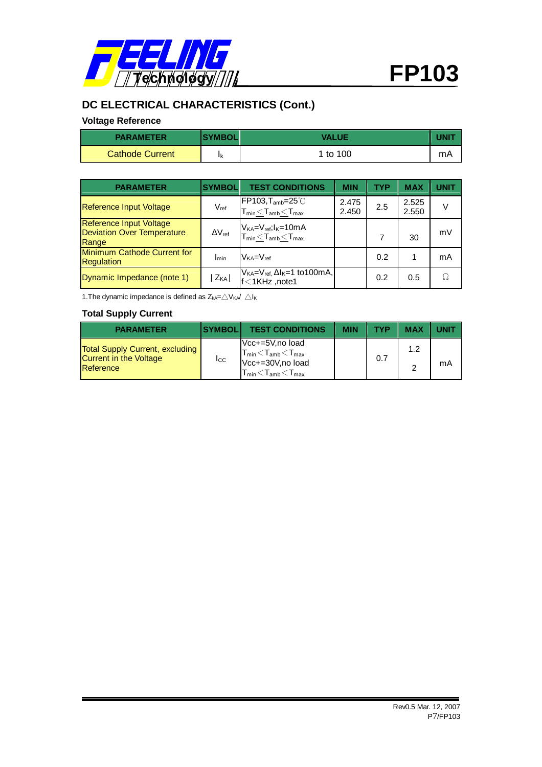

# **DC ELECTRICAL CHARACTERISTICS (Cont.)**

## **Voltage Reference**

| <b>PARAMETER</b>       | <b>SYMBOL</b> | VALUE    |    |
|------------------------|---------------|----------|----|
| <b>Cathode Current</b> | Ιk            | 1 to 100 | mA |

| <b>PARAMETER</b>                                                             | <b>SYMBOL</b>        | <b>TEST CONDITIONS</b>                                                           | <b>MIN</b>     | TYP | MAX            | <b>UNIT</b> |
|------------------------------------------------------------------------------|----------------------|----------------------------------------------------------------------------------|----------------|-----|----------------|-------------|
| <b>Reference Input Voltage</b>                                               | $V_{ref}$            | FP103, T <sub>amb</sub> =25°C<br>$T_{min}$ $<$ $T_{amb}$ $<$ $T_{max}$           | 2.475<br>2.450 | 2.5 | 2.525<br>2.550 | $\vee$      |
| <b>Reference Input Voltage</b><br><b>Deviation Over Temperature</b><br>Range | $\Delta \rm V_{ref}$ | $V_{KA} = V_{ref}$ ; $I_{K} = 10$ m A<br>$T_{min}$ $<$ $T_{amb}$ $<$ $T_{max}$ . |                |     | 30             | mV          |
| Minimum Cathode Current for<br><b>Regulation</b>                             | Imin                 | $V_{KA}=V_{ref}$                                                                 |                | 0.2 |                | mA          |
| Dynamic Impedance (note 1)                                                   | $Z_{KA}$             | $V_{KA}=V_{ref.} \Delta I_{K}=1$ to 100 mA,<br>f<1KHz, note1                     |                | 0.2 | 0.5            | Ω           |

1. The dynamic impedance is defined as  $Z_{kA} = \triangle V_{KA} / \triangle I_K$ 

#### **Total Supply Current**

| <b>PARAMETER</b>                                                                     | <b>SYMBOLI</b> | <b>TEST CONDITIONS</b>                                                                                                                     | <b>MIN</b> | TYP | <b>MAX</b> |    |
|--------------------------------------------------------------------------------------|----------------|--------------------------------------------------------------------------------------------------------------------------------------------|------------|-----|------------|----|
| <b>Total Supply Current, excluding</b><br><b>Current in the Voltage</b><br>Reference | Icc.           | Vcc+=5V,no load<br>$T_{min}$ $<$ $T_{amb}$ $<$ $T_{max}$<br>Vcc+=30V,no load<br>$T_{\text{min}}$ $<$ $T_{\text{amb}}$ $<$ $T_{\text{max}}$ |            | 0.7 | 1.2        | mA |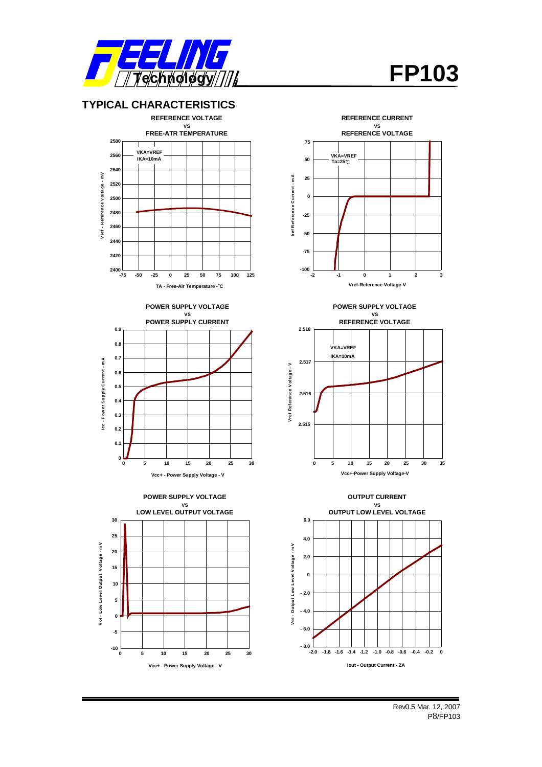





**0 5 10 20 25 30**

**15**

**Vcc+ - Power Supply Voltage - V**

**-10**

**0 5**

**10**

**-5**



**REFERENCE CURRENT**



![](_page_7_Figure_5.jpeg)

 $\frac{1}{2}$ 

**Iout - Output Current - ZA**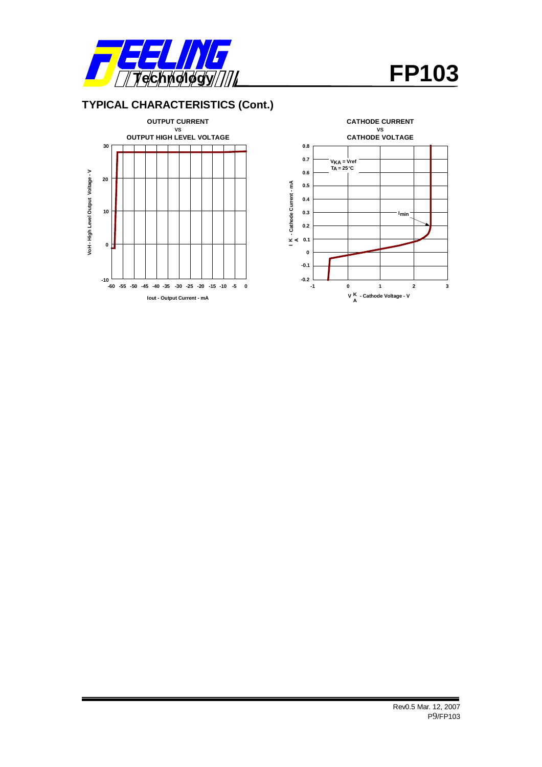![](_page_8_Picture_0.jpeg)

## **TYPICAL CHARACTERISTICS (Cont.)**

![](_page_8_Figure_3.jpeg)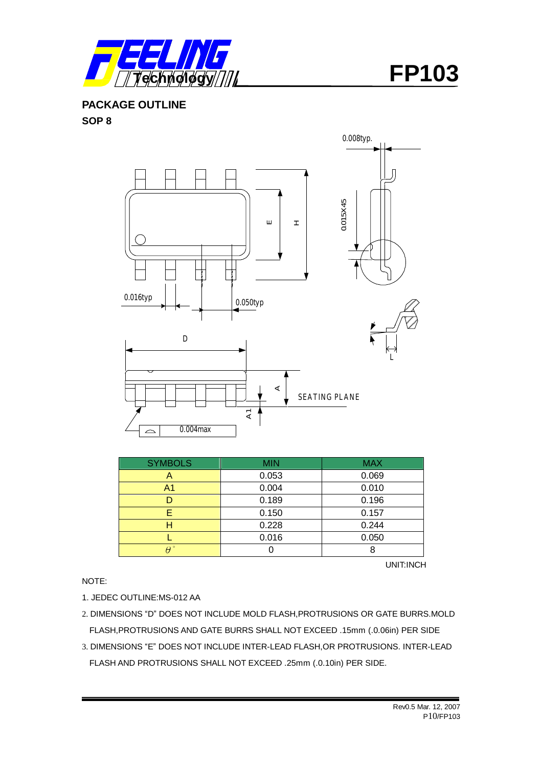![](_page_9_Picture_0.jpeg)

**PACKAGE OUTLINE SOP 8** 

![](_page_9_Figure_3.jpeg)

| <b>SYMBOLS</b> | <b>MIN</b> | <b>MAX</b> |
|----------------|------------|------------|
| "              | 0.053      | 0.069      |
| A1             | 0.004      | 0.010      |
|                | 0.189      | 0.196      |
|                | 0.150      | 0.157      |
|                | 0.228      | 0.244      |
|                | 0.016      | 0.050      |
|                |            |            |

UNIT:INCH

NOTE:

1. JEDEC OUTLINE:MS-012 AA

- 2. DIMENSIONS "D" DOES NOT INCLUDE MOLD FLASH,PROTRUSIONS OR GATE BURRS.MOLD FLASH,PROTRUSIONS AND GATE BURRS SHALL NOT EXCEED .15mm (.0.06in) PER SIDE
- 3. DIMENSIONS "E" DOES NOT INCLUDE INTER-LEAD FLASH,OR PROTRUSIONS. INTER-LEAD FLASH AND PROTRUSIONS SHALL NOT EXCEED .25mm (.0.10in) PER SIDE.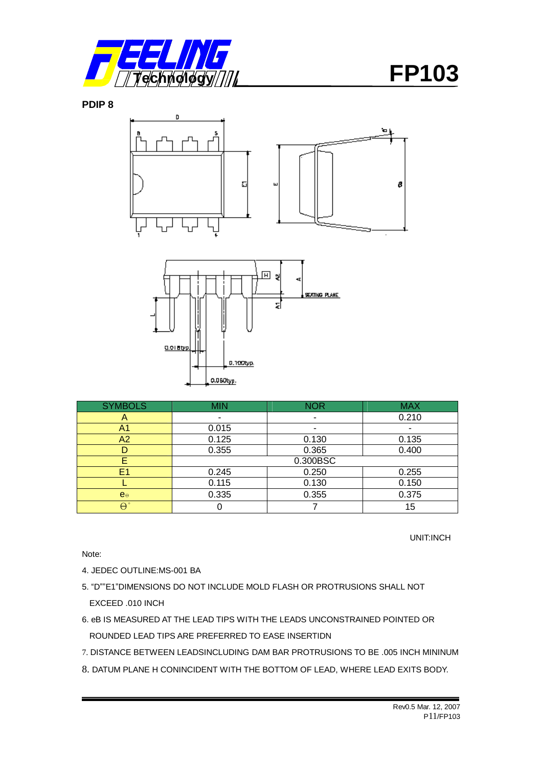![](_page_10_Picture_0.jpeg)

**PDIP 8** 

![](_page_10_Figure_3.jpeg)

| <b>SYMBOLS</b>    | <b>MIN</b>     | <b>NOR</b>               | <b>MAX</b> |  |  |
|-------------------|----------------|--------------------------|------------|--|--|
| A                 |                | $\overline{\phantom{0}}$ | 0.210      |  |  |
| A1                | 0.015          |                          |            |  |  |
| A2                | 0.125<br>0.130 |                          | 0.135      |  |  |
|                   | 0.355          | 0.365                    |            |  |  |
|                   | 0.300BSC       |                          |            |  |  |
| E1                | 0.245          | 0.250                    | 0.255      |  |  |
|                   | 0.115          | 0.130                    | 0.150      |  |  |
| $e_{\theta}$      | 0.335          | 0.355                    | 0.375      |  |  |
| $\Theta$ $^\circ$ |                |                          | 15         |  |  |

0.100typ.

0.060typ.

UNIT:INCH

Note:

4. JEDEC OUTLINE:MS-001 BA

- 5. "D""E1"DIMENSIONS DO NOT INCLUDE MOLD FLASH OR PROTRUSIONS SHALL NOT EXCEED .010 INCH
- 6. eB IS MEASURED AT THE LEAD TIPS WITH THE LEADS UNCONSTRAINED POINTED OR ROUNDED LEAD TIPS ARE PREFERRED TO EASE INSERTIDN
- 7. DISTANCE BETWEEN LEADSINCLUDING DAM BAR PROTRUSIONS TO BE .005 INCH MININUM
- 8. DATUM PLANE H CONINCIDENT WITH THE BOTTOM OF LEAD, WHERE LEAD EXITS BODY.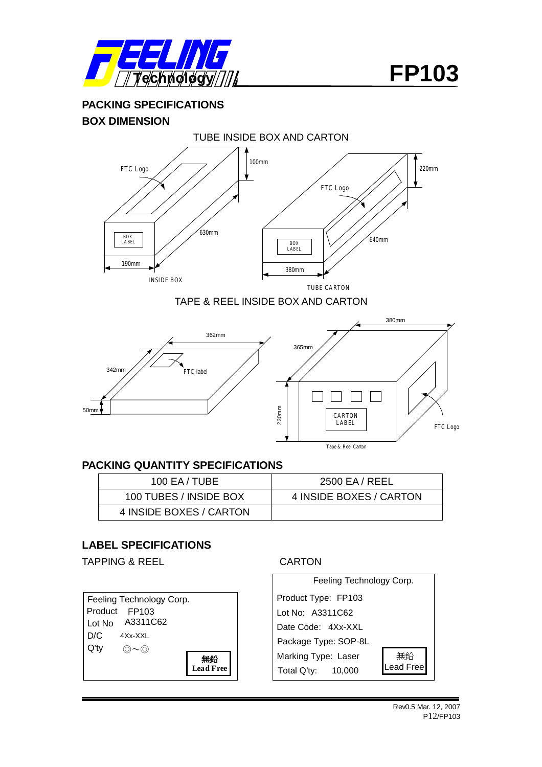![](_page_11_Picture_0.jpeg)

**PACKING SPECIFICATIONS BOX DIMENSION** 

![](_page_11_Picture_3.jpeg)

![](_page_11_Figure_4.jpeg)

![](_page_11_Figure_5.jpeg)

## **PACKING QUANTITY SPECIFICATIONS**

| 100 EA/TUBE             | 2500 EA / REEL          |
|-------------------------|-------------------------|
| 100 TUBES / INSIDE BOX  | 4 INSIDE BOXES / CARTON |
| 4 INSIDE BOXES / CARTON |                         |

### **LABEL SPECIFICATIONS**

TAPPING & REEL CARTON

Feeling Technology Corp. Product FP103 Lot No A3311C62 D/C  $Q'$ ty  $\circledcirc \sim \circledcirc$ **無鉛 Lead Free** 4Xx-XXL

![](_page_11_Figure_13.jpeg)